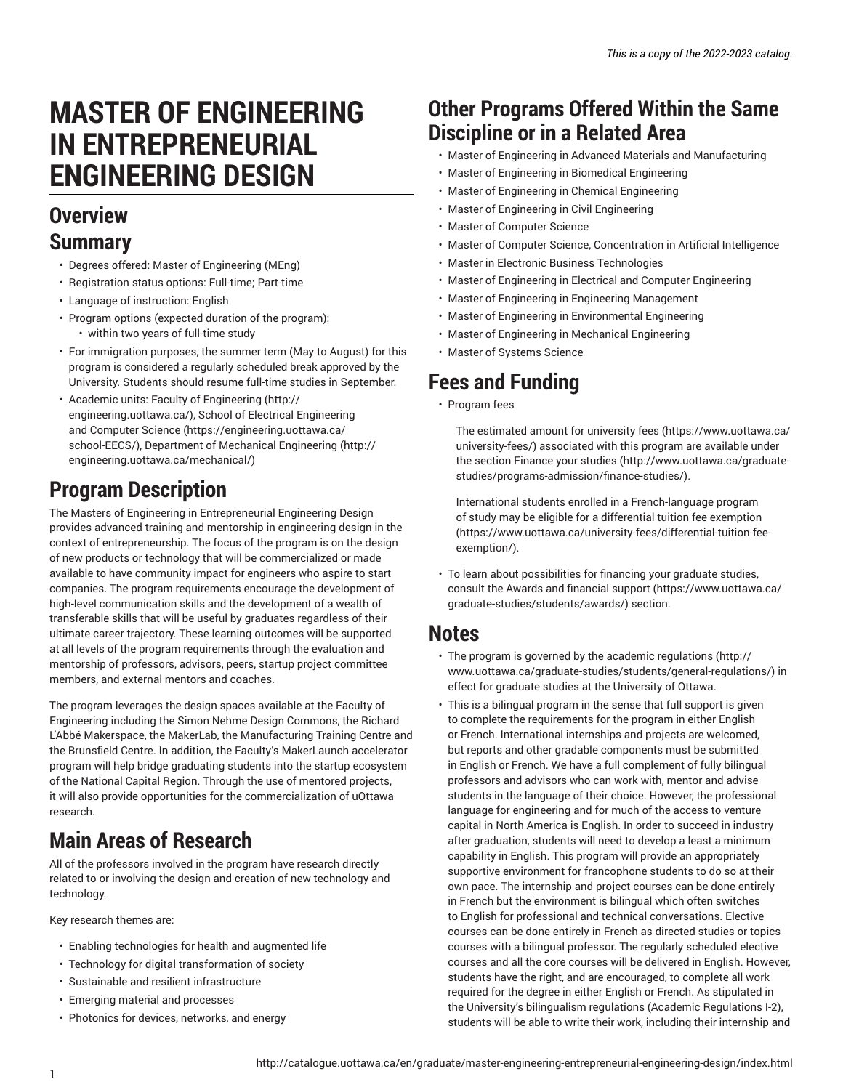# **MASTER OF ENGINEERING IN ENTREPRENEURIAL ENGINEERING DESIGN**

### **Overview Summary**

- Degrees offered: Master of Engineering (MEng)
- Registration status options: Full-time; Part-time
- Language of instruction: English
- Program options (expected duration of the program): • within two years of full-time study
- For immigration purposes, the summer term (May to August) for this program is considered a regularly scheduled break approved by the University. Students should resume full-time studies in September.
- Academic units: Faculty of [Engineering](http://engineering.uottawa.ca/) ([http://](http://engineering.uottawa.ca/) [engineering.uottawa.ca/\)](http://engineering.uottawa.ca/), [School of Electrical Engineering](https://engineering.uottawa.ca/school-EECS/) [and Computer Science](https://engineering.uottawa.ca/school-EECS/) ([https://engineering.uottawa.ca/](https://engineering.uottawa.ca/school-EECS/) [school-EECS/\)](https://engineering.uottawa.ca/school-EECS/), [Department](http://engineering.uottawa.ca/mechanical/) of Mechanical Engineering ([http://](http://engineering.uottawa.ca/mechanical/) [engineering.uottawa.ca/mechanical/\)](http://engineering.uottawa.ca/mechanical/)

## **Program Description**

The Masters of Engineering in Entrepreneurial Engineering Design provides advanced training and mentorship in engineering design in the context of entrepreneurship. The focus of the program is on the design of new products or technology that will be commercialized or made available to have community impact for engineers who aspire to start companies. The program requirements encourage the development of high-level communication skills and the development of a wealth of transferable skills that will be useful by graduates regardless of their ultimate career trajectory. These learning outcomes will be supported at all levels of the program requirements through the evaluation and mentorship of professors, advisors, peers, startup project committee members, and external mentors and coaches.

The program leverages the design spaces available at the Faculty of Engineering including the Simon Nehme Design Commons, the Richard L'Abbé Makerspace, the MakerLab, the Manufacturing Training Centre and the Brunsfield Centre. In addition, the Faculty's MakerLaunch accelerator program will help bridge graduating students into the startup ecosystem of the National Capital Region. Through the use of mentored projects, it will also provide opportunities for the commercialization of uOttawa research.

# **Main Areas of Research**

All of the professors involved in the program have research directly related to or involving the design and creation of new technology and technology.

Key research themes are:

- Enabling technologies for health and augmented life
- Technology for digital transformation of society
- Sustainable and resilient infrastructure
- Emerging material and processes
- Photonics for devices, networks, and energy

## **Other Programs Offered Within the Same Discipline or in a Related Area**

- Master of Engineering in Advanced Materials and Manufacturing
- Master of Engineering in Biomedical Engineering
- Master of Engineering in Chemical Engineering
- Master of Engineering in Civil Engineering
- Master of Computer Science
- Master of Computer Science, Concentration in Artificial Intelligence
- Master in Electronic Business Technologies
- Master of Engineering in Electrical and Computer Engineering
- Master of Engineering in Engineering Management
- Master of Engineering in Environmental Engineering
- Master of Engineering in Mechanical Engineering
- Master of Systems Science

## **Fees and Funding**

• Program fees

The estimated amount for [university](https://www.uottawa.ca/university-fees/) fees ([https://www.uottawa.ca/](https://www.uottawa.ca/university-fees/) [university-fees/](https://www.uottawa.ca/university-fees/)) associated with this program are available under the section [Finance](http://www.uottawa.ca/graduate-studies/programs-admission/finance-studies/) your studies ([http://www.uottawa.ca/graduate](http://www.uottawa.ca/graduate-studies/programs-admission/finance-studies/)[studies/programs-admission/finance-studies/\)](http://www.uottawa.ca/graduate-studies/programs-admission/finance-studies/).

International students enrolled in a French-language program of study may be eligible for a [differential](https://www.uottawa.ca/university-fees/differential-tuition-fee-exemption/) tuition fee exemption [\(https://www.uottawa.ca/university-fees/differential-tuition-fee](https://www.uottawa.ca/university-fees/differential-tuition-fee-exemption/)[exemption/\)](https://www.uottawa.ca/university-fees/differential-tuition-fee-exemption/).

• To learn about possibilities for financing your graduate studies, consult the Awards and [financial](https://www.uottawa.ca/graduate-studies/students/awards/) support [\(https://www.uottawa.ca/](https://www.uottawa.ca/graduate-studies/students/awards/) [graduate-studies/students/awards/](https://www.uottawa.ca/graduate-studies/students/awards/)) section.

### **Notes**

- The program is governed by the academic [regulations](http://www.uottawa.ca/graduate-studies/students/general-regulations/) ([http://](http://www.uottawa.ca/graduate-studies/students/general-regulations/) [www.uottawa.ca/graduate-studies/students/general-regulations/](http://www.uottawa.ca/graduate-studies/students/general-regulations/)) in effect for graduate studies at the University of Ottawa.
- This is a bilingual program in the sense that full support is given to complete the requirements for the program in either English or French. International internships and projects are welcomed, but reports and other gradable components must be submitted in English or French. We have a full complement of fully bilingual professors and advisors who can work with, mentor and advise students in the language of their choice. However, the professional language for engineering and for much of the access to venture capital in North America is English. In order to succeed in industry after graduation, students will need to develop a least a minimum capability in English. This program will provide an appropriately supportive environment for francophone students to do so at their own pace. The internship and project courses can be done entirely in French but the environment is bilingual which often switches to English for professional and technical conversations. Elective courses can be done entirely in French as directed studies or topics courses with a bilingual professor. The regularly scheduled elective courses and all the core courses will be delivered in English. However, students have the right, and are encouraged, to complete all work required for the degree in either English or French. As stipulated in the University's bilingualism regulations (Academic Regulations I-2), students will be able to write their work, including their internship and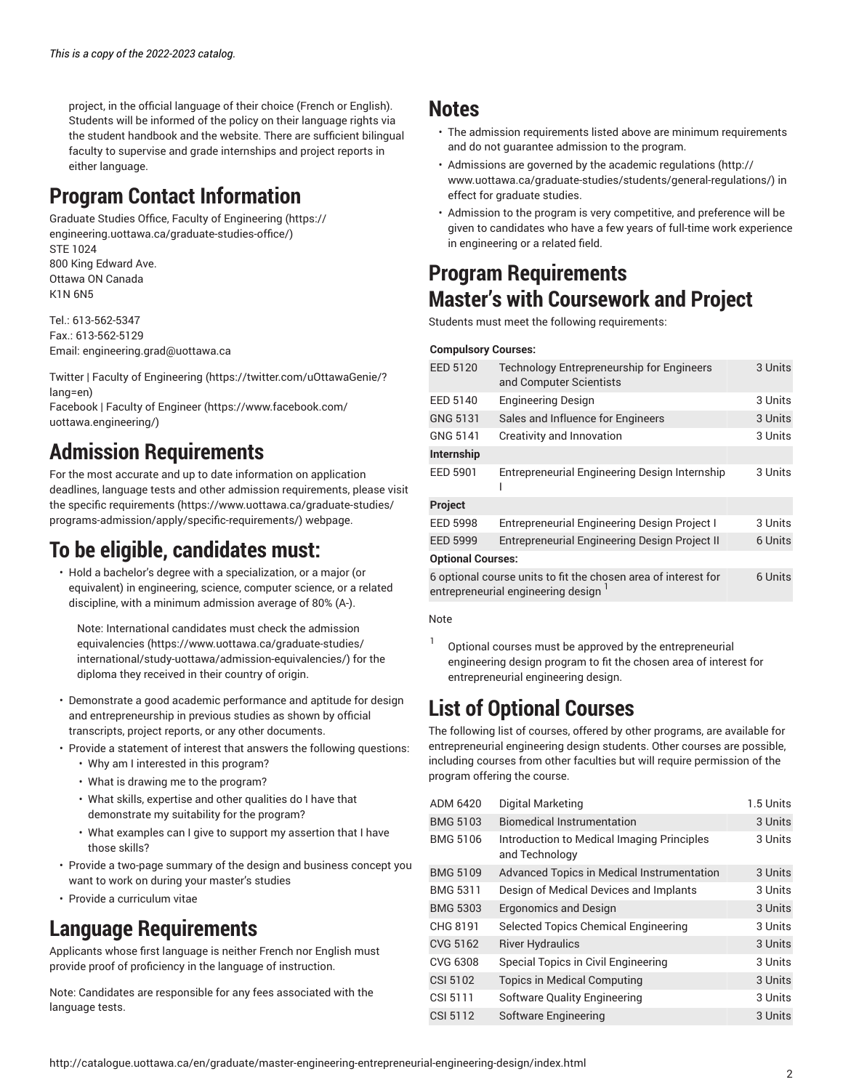project, in the official language of their choice (French or English). Students will be informed of the policy on their language rights via the student handbook and the website. There are sufficient bilingual faculty to supervise and grade internships and project reports in either language.

# **Program Contact Information**

Graduate Studies Office, Faculty of [Engineering](https://engineering.uottawa.ca/graduate-studies-office/) ([https://](https://engineering.uottawa.ca/graduate-studies-office/) [engineering.uottawa.ca/graduate-studies-office/](https://engineering.uottawa.ca/graduate-studies-office/)) STE 1024 800 King Edward Ave. Ottawa ON Canada K1N 6N5

Tel.: 613-562-5347 Fax.: 613-562-5129 Email: [engineering.grad@uottawa.ca](mailto:engineering.grad@uottawa.ca)

Twitter | Faculty of [Engineering](https://twitter.com/uOttawaGenie/?lang=en) ([https://twitter.com/uOttawaGenie/?](https://twitter.com/uOttawaGenie/?lang=en) [lang=en\)](https://twitter.com/uOttawaGenie/?lang=en)

[Facebook](https://www.facebook.com/uottawa.engineering/) | Faculty of Engineer ([https://www.facebook.com/](https://www.facebook.com/uottawa.engineering/) [uottawa.engineering/](https://www.facebook.com/uottawa.engineering/))

# **Admission Requirements**

For the most accurate and up to date information on application deadlines, language tests and other admission requirements, please visit the specific [requirements](https://www.uottawa.ca/graduate-studies/programs-admission/apply/specific-requirements/) ([https://www.uottawa.ca/graduate-studies/](https://www.uottawa.ca/graduate-studies/programs-admission/apply/specific-requirements/) [programs-admission/apply/specific-requirements/](https://www.uottawa.ca/graduate-studies/programs-admission/apply/specific-requirements/)) webpage.

# **To be eligible, candidates must:**

• Hold a bachelor's degree with a specialization, or a major (or equivalent) in engineering, science, computer science, or a related discipline, with a minimum admission average of 80% (A-).

Note: International candidates must check the [admission](https://www.uottawa.ca/graduate-studies/international/study-uottawa/admission-equivalencies/) [equivalencies](https://www.uottawa.ca/graduate-studies/international/study-uottawa/admission-equivalencies/) ([https://www.uottawa.ca/graduate-studies/](https://www.uottawa.ca/graduate-studies/international/study-uottawa/admission-equivalencies/) [international/study-uottawa/admission-equivalencies/\)](https://www.uottawa.ca/graduate-studies/international/study-uottawa/admission-equivalencies/) for the diploma they received in their country of origin.

- Demonstrate a good academic performance and aptitude for design and entrepreneurship in previous studies as shown by official transcripts, project reports, or any other documents.
- Provide a statement of interest that answers the following questions: • Why am I interested in this program?
	- What is drawing me to the program?
	- What skills, expertise and other qualities do I have that demonstrate my suitability for the program?
	- What examples can I give to support my assertion that I have those skills?
- Provide a two-page summary of the design and business concept you want to work on during your master's studies
- Provide a curriculum vitae

## **Language Requirements**

Applicants whose first language is neither French nor English must provide proof of proficiency in the language of instruction.

Note: Candidates are responsible for any fees associated with the language tests.

### **Notes**

- The admission requirements listed above are minimum requirements and do not guarantee admission to the program.
- Admissions are governed by the academic [regulations \(http://](http://www.uottawa.ca/graduate-studies/students/general-regulations/) [www.uottawa.ca/graduate-studies/students/general-regulations/](http://www.uottawa.ca/graduate-studies/students/general-regulations/)) in effect for graduate studies.
- Admission to the program is very competitive, and preference will be given to candidates who have a few years of full-time work experience in engineering or a related field.

## **Program Requirements Master's with Coursework and Project**

Students must meet the following requirements:

#### **Compulsory Courses:**

| <b>EED 5120</b>                                                                                                   | Technology Entrepreneurship for Engineers<br>and Computer Scientists | 3 Units |  |  |
|-------------------------------------------------------------------------------------------------------------------|----------------------------------------------------------------------|---------|--|--|
| EED 5140                                                                                                          | <b>Engineering Design</b>                                            | 3 Units |  |  |
| <b>GNG 5131</b>                                                                                                   | Sales and Influence for Engineers                                    | 3 Units |  |  |
| GNG 5141                                                                                                          | Creativity and Innovation                                            | 3 Units |  |  |
| Internship                                                                                                        |                                                                      |         |  |  |
| EED 5901                                                                                                          | Entrepreneurial Engineering Design Internship                        | 3 Units |  |  |
| Project                                                                                                           |                                                                      |         |  |  |
| <b>EED 5998</b>                                                                                                   | <b>Entrepreneurial Engineering Design Project I</b>                  | 3 Units |  |  |
| <b>EED 5999</b>                                                                                                   | <b>Entrepreneurial Engineering Design Project II</b>                 | 6 Units |  |  |
| <b>Optional Courses:</b>                                                                                          |                                                                      |         |  |  |
| 6 optional course units to fit the chosen area of interest for<br>6 Units<br>entrepreneurial engineering design 1 |                                                                      |         |  |  |

#### Note

1 Optional courses must be approved by the entrepreneurial engineering design program to fit the chosen area of interest for entrepreneurial engineering design.

# **List of Optional Courses**

The following list of courses, offered by other programs, are available for entrepreneurial engineering design students. Other courses are possible, including courses from other faculties but will require permission of the program offering the course.

| ADM 6420        | Digital Marketing                                            | 1.5 Units |
|-----------------|--------------------------------------------------------------|-----------|
| <b>BMG 5103</b> | <b>Biomedical Instrumentation</b>                            | 3 Units   |
| <b>BMG 5106</b> | Introduction to Medical Imaging Principles<br>and Technology | 3 Units   |
| <b>BMG 5109</b> | Advanced Topics in Medical Instrumentation                   | 3 Units   |
| <b>BMG 5311</b> | Design of Medical Devices and Implants                       | 3 Units   |
| <b>BMG 5303</b> | <b>Ergonomics and Design</b>                                 | 3 Units   |
| CHG 8191        | Selected Topics Chemical Engineering                         | 3 Units   |
| CVG 5162        | <b>River Hydraulics</b>                                      | 3 Units   |
| CVG 6308        | Special Topics in Civil Engineering                          | 3 Units   |
| CSI 5102        | <b>Topics in Medical Computing</b>                           | 3 Units   |
| CSI 5111        | Software Quality Engineering                                 | 3 Units   |
| CSI 5112        | Software Engineering                                         | 3 Units   |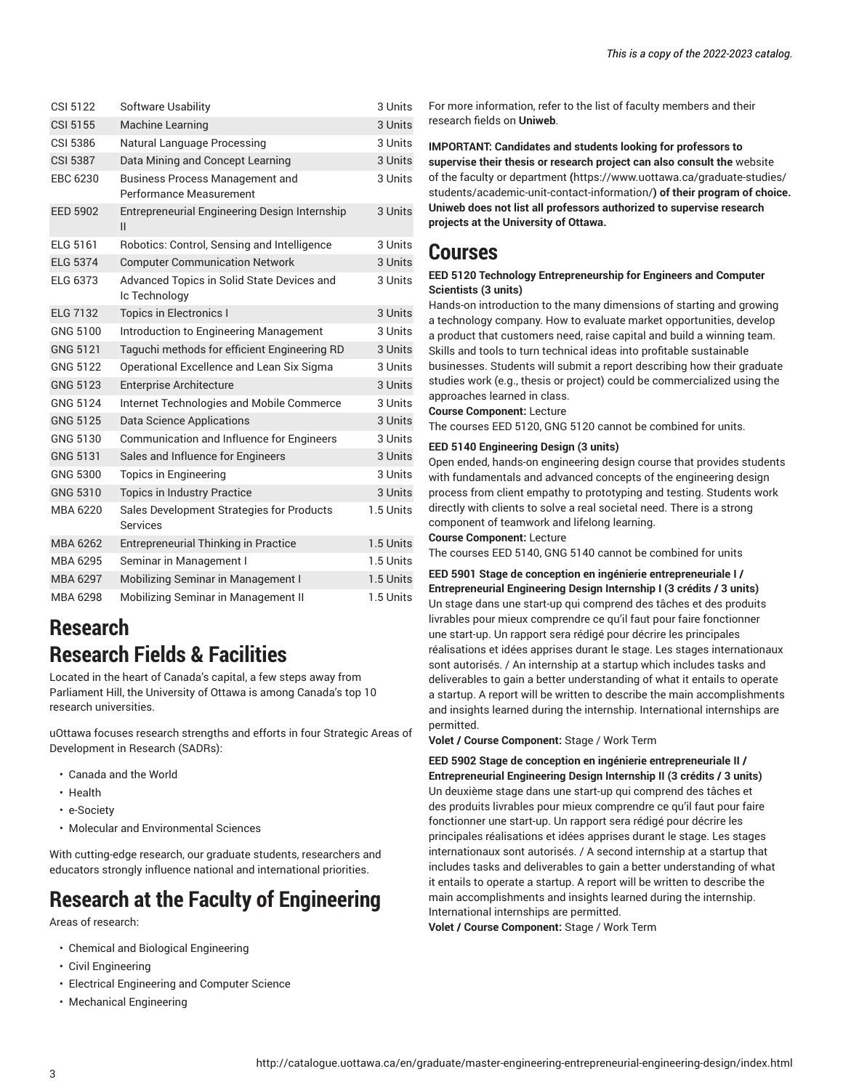| CSI 5122        | Software Usability                                                       | 3 Units   |
|-----------------|--------------------------------------------------------------------------|-----------|
| <b>CSI 5155</b> | <b>Machine Learning</b>                                                  | 3 Units   |
| <b>CSI 5386</b> | Natural Language Processing                                              | 3 Units   |
| <b>CSI 5387</b> | Data Mining and Concept Learning                                         | 3 Units   |
| EBC 6230        | <b>Business Process Management and</b><br><b>Performance Measurement</b> | 3 Units   |
| <b>EED 5902</b> | Entrepreneurial Engineering Design Internship<br>$\mathsf{II}$           | 3 Units   |
| ELG 5161        | Robotics: Control, Sensing and Intelligence                              | 3 Units   |
| <b>ELG 5374</b> | <b>Computer Communication Network</b>                                    | 3 Units   |
| <b>ELG 6373</b> | Advanced Topics in Solid State Devices and<br>Ic Technology              | 3 Units   |
| <b>ELG 7132</b> | <b>Topics in Electronics I</b>                                           | 3 Units   |
| GNG 5100        | Introduction to Engineering Management                                   | 3 Units   |
| GNG 5121        | Taguchi methods for efficient Engineering RD                             | 3 Units   |
| GNG 5122        | Operational Excellence and Lean Six Sigma                                | 3 Units   |
| <b>GNG 5123</b> | <b>Enterprise Architecture</b>                                           | 3 Units   |
| <b>GNG 5124</b> | Internet Technologies and Mobile Commerce                                | 3 Units   |
| <b>GNG 5125</b> | <b>Data Science Applications</b>                                         | 3 Units   |
| GNG 5130        | Communication and Influence for Engineers                                | 3 Units   |
| GNG 5131        | Sales and Influence for Engineers                                        | 3 Units   |
| GNG 5300        | <b>Topics in Engineering</b>                                             | 3 Units   |
| GNG 5310        | <b>Topics in Industry Practice</b>                                       | 3 Units   |
| MBA 6220        | Sales Development Strategies for Products<br><b>Services</b>             | 1.5 Units |
| MBA 6262        | <b>Entrepreneurial Thinking in Practice</b>                              | 1.5 Units |
| MBA 6295        | Seminar in Management I                                                  | 1.5 Units |
| MBA 6297        | Mobilizing Seminar in Management I                                       | 1.5 Units |
| MBA 6298        | Mobilizing Seminar in Management II                                      | 1.5 Units |
|                 |                                                                          |           |

# **Research Research Fields & Facilities**

Located in the heart of Canada's capital, a few steps away from Parliament Hill, the University of Ottawa is among Canada's top 10 research universities.

uOttawa focuses research strengths and efforts in four Strategic Areas of Development in Research (SADRs):

- Canada and the World
- Health
- e-Society
- Molecular and Environmental Sciences

With cutting-edge research, our graduate students, researchers and educators strongly influence national and international priorities.

# **Research at the Faculty of Engineering**

Areas of research:

- Chemical and Biological Engineering
- Civil Engineering
- Electrical Engineering and Computer Science
- Mechanical Engineering

For more information, refer to the list of faculty members and their research fields on **Uniweb**.

**IMPORTANT: Candidates and students looking for professors to supervise their thesis or research project can also consult the** [website](https://www.uottawa.ca/graduate-studies/students/academic-unit-contact-information/) of the faculty or [department](https://www.uottawa.ca/graduate-studies/students/academic-unit-contact-information/) **(**[https://www.uottawa.ca/graduate-studies/](https://www.uottawa.ca/graduate-studies/students/academic-unit-contact-information/) [students/academic-unit-contact-information/](https://www.uottawa.ca/graduate-studies/students/academic-unit-contact-information/)**) of their program of choice. Uniweb does not list all professors authorized to supervise research projects at the University of Ottawa.**

### **Courses**

#### **EED 5120 Technology Entrepreneurship for Engineers and Computer Scientists (3 units)**

Hands-on introduction to the many dimensions of starting and growing a technology company. How to evaluate market opportunities, develop a product that customers need, raise capital and build a winning team. Skills and tools to turn technical ideas into profitable sustainable businesses. Students will submit a report describing how their graduate studies work (e.g., thesis or project) could be commercialized using the approaches learned in class.

**Course Component:** Lecture

The courses EED 5120, GNG 5120 cannot be combined for units.

#### **EED 5140 Engineering Design (3 units)**

Open ended, hands-on engineering design course that provides students with fundamentals and advanced concepts of the engineering design process from client empathy to prototyping and testing. Students work directly with clients to solve a real societal need. There is a strong component of teamwork and lifelong learning.

**Course Component:** Lecture

The courses EED 5140, GNG 5140 cannot be combined for units

**EED 5901 Stage de conception en ingénierie entrepreneuriale I / Entrepreneurial Engineering Design Internship I (3 crédits / 3 units)** Un stage dans une start-up qui comprend des tâches et des produits livrables pour mieux comprendre ce qu'il faut pour faire fonctionner une start-up. Un rapport sera rédigé pour décrire les principales réalisations et idées apprises durant le stage. Les stages internationaux sont autorisés. / An internship at a startup which includes tasks and deliverables to gain a better understanding of what it entails to operate a startup. A report will be written to describe the main accomplishments and insights learned during the internship. International internships are permitted.

**Volet / Course Component:** Stage / Work Term

**EED 5902 Stage de conception en ingénierie entrepreneuriale II / Entrepreneurial Engineering Design Internship II (3 crédits / 3 units)** Un deuxième stage dans une start-up qui comprend des tâches et des produits livrables pour mieux comprendre ce qu'il faut pour faire fonctionner une start-up. Un rapport sera rédigé pour décrire les principales réalisations et idées apprises durant le stage. Les stages internationaux sont autorisés. / A second internship at a startup that includes tasks and deliverables to gain a better understanding of what it entails to operate a startup. A report will be written to describe the main accomplishments and insights learned during the internship. International internships are permitted.

**Volet / Course Component:** Stage / Work Term